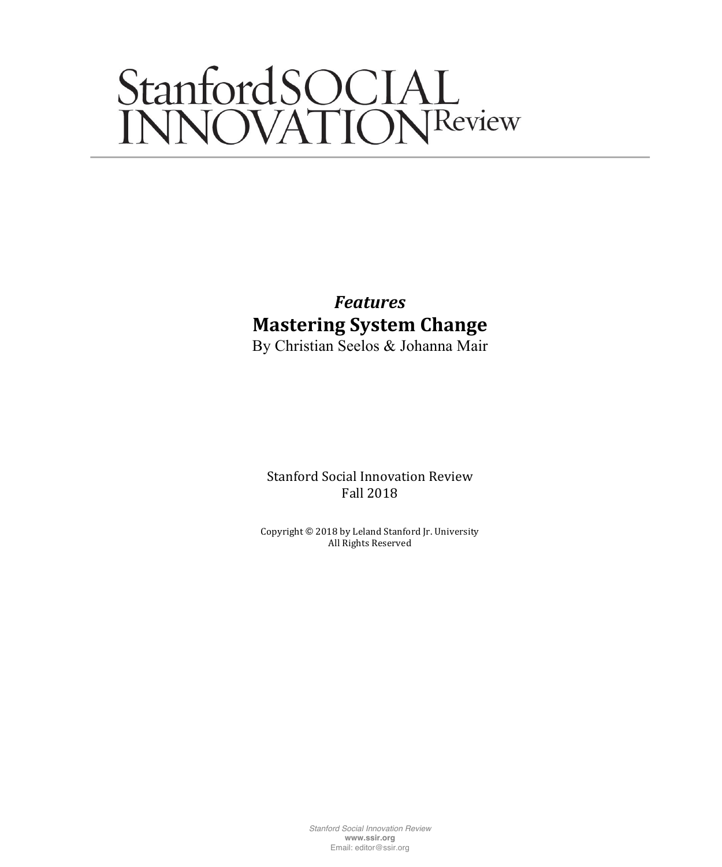# StanfordSOCIAL<br>INNOVATIONReview

# *Features* **Mastering System Change**

By Christian Seelos & Johanna Mair

Stanford Social Innovation Review Fall 2018

Copyright  $©$  2018 by Leland Stanford Jr. University All Rights Reserved

> *Stanford Social Innovation Review* **www.ssir.org** Email: editor@ssir.org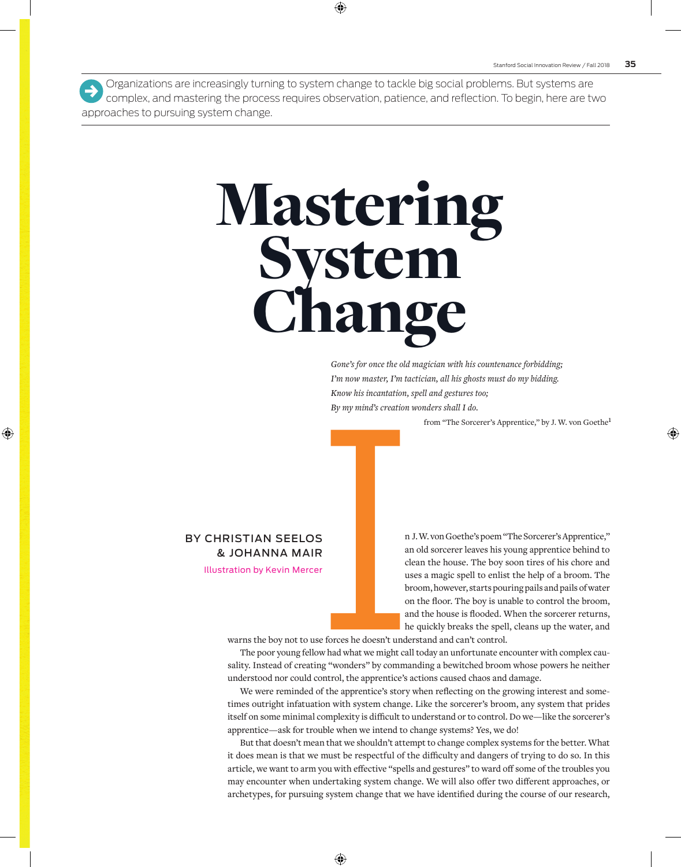Organizations are increasingly turning to system change to tackle big social problems. But systems are complex, and mastering the process requires observation, patience, and reflection. To begin, here are two approaches to pursuing system change.  $\rightarrow$ 

# Mastering System **lange**

*Gone's for once the old magician with his countenance forbidding; I'm now master, I'm tactician, all his ghosts must do my bidding. Know his incantation, spell and gestures too; By my mind's creation wonders shall I do.*

from "The Sorcerer's Apprentice," by J. W. von Goethe**<sup>1</sup>**

#### BY CHRISTIAN SEELOS & JOHANNA MAIR

Illustration by Kevin Mercer

n J. W. von Goethe's poem "The Sorcerer's Apprentice," an old sorcerer leaves his young apprentice behind to clean the house. The boy soon tires of his chore and uses a magic spell to enlist the help of a broom. The broom, however, starts pouring pails and pails of water on the floor. The boy is unable to control the broom, and the house is flooded. When the sorcerer returns, he quickly breaks the spell, cleans up the water, and

warns the boy not to use forces he doesn't understand and can't control.

The poor young fellow had what we might call today an unfortunate encounter with complex causality. Instead of creating "wonders" by commanding a bewitched broom whose powers he neither understood nor could control, the apprentice's actions caused chaos and damage.

We were reminded of the apprentice's story when reflecting on the growing interest and sometimes outright infatuation with system change. Like the sorcerer's broom, any system that prides itself on some minimal complexity is difficult to understand or to control. Do we—like the sorcerer's apprentice—ask for trouble when we intend to change systems? Yes, we do!

But that doesn't mean that we shouldn't attempt to change complex systems for the better. What it does mean is that we must be respectful of the difficulty and dangers of trying to do so. In this article, we want to arm you with effective "spells and gestures" to ward off some of the troubles you may encounter when undertaking system change. We will also offer two different approaches, or archetypes, for pursuing system change that we have identified during the course of our research,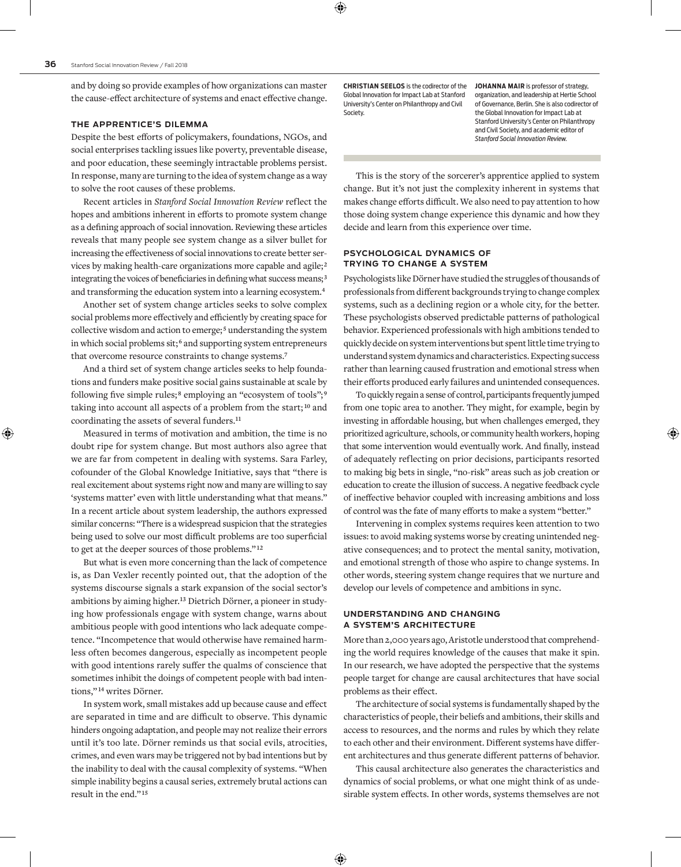and by doing so provide examples of how organizations can master the cause-effect architecture of systems and enact effective change.

#### **THE APPRENTICE'S DILEMMA**

Despite the best efforts of policymakers, foundations, NGOs, and social enterprises tackling issues like poverty, preventable disease, and poor education, these seemingly intractable problems persist. In response, many are turning to the idea of system change as a way to solve the root causes of these problems.

Recent articles in *Stanford Social Innovation Review* reflect the hopes and ambitions inherent in efforts to promote system change as a defining approach of social innovation. Reviewing these articles reveals that many people see system change as a silver bullet for increasing the effectiveness of social innovations to create better services by making health-care organizations more capable and agile; **<sup>2</sup>** integrating the voices of beneficiaries in defining what success means;**<sup>3</sup>** and transforming the education system into a learning ecosystem.**<sup>4</sup>**

Another set of system change articles seeks to solve complex social problems more effectively and efficiently by creating space for collective wisdom and action to emerge; **<sup>5</sup>** understanding the system in which social problems sit; **<sup>6</sup>** and supporting system entrepreneurs that overcome resource constraints to change systems.**<sup>7</sup>**

And a third set of system change articles seeks to help foundations and funders make positive social gains sustainable at scale by following five simple rules; **<sup>8</sup>** employing an "ecosystem of tools"; **<sup>9</sup>** taking into account all aspects of a problem from the start; **<sup>10</sup>** and coordinating the assets of several funders.**<sup>11</sup>**

Measured in terms of motivation and ambition, the time is no doubt ripe for system change. But most authors also agree that we are far from competent in dealing with systems. Sara Farley, cofounder of the Global Knowledge Initiative, says that "there is real excitement about systems right now and many are willing to say 'systems matter' even with little understanding what that means." In a recent article about system leadership, the authors expressed similar concerns: "There is a widespread suspicion that the strategies being used to solve our most difficult problems are too superficial to get at the deeper sources of those problems." **<sup>12</sup>**

But what is even more concerning than the lack of competence is, as Dan Vexler recently pointed out, that the adoption of the systems discourse signals a stark expansion of the social sector's ambitions by aiming higher.**13** Dietrich Dörner, a pioneer in studying how professionals engage with system change, warns about ambitious people with good intentions who lack adequate competence. "Incompetence that would otherwise have remained harmless often becomes dangerous, especially as incompetent people with good intentions rarely suffer the qualms of conscience that sometimes inhibit the doings of competent people with bad intentions," **<sup>14</sup>** writes Dörner.

In system work, small mistakes add up because cause and effect are separated in time and are difficult to observe. This dynamic hinders ongoing adaptation, and people may not realize their errors until it's too late. Dörner reminds us that social evils, atrocities, crimes, and even wars may be triggered not by bad intentions but by the inability to deal with the causal complexity of systems. "When simple inability begins a causal series, extremely brutal actions can result in the end." **<sup>15</sup>**

**[CHRISTIAN SEELOS](https://pacscenter.stanford.edu/person/christian-seelos/)** is the codirector of the Global Innovation for Impact Lab at Stanford University's Center on Philanthropy and Civil Society.

**[JOHANNA MAIR](https://pacscenter.stanford.edu/person/johanna-mair/)** is professor of strategy, organization, and leadership at Hertie School of Governance, Berlin. She is also codirector of the Global Innovation for Impact Lab at Stanford University's Center on Philanthropy and Civil Society, and academic editor of *Stanford Social Innovation Review.*

This is the story of the sorcerer's apprentice applied to system change. But it's not just the complexity inherent in systems that makes change efforts difficult. We also need to pay attention to how those doing system change experience this dynamic and how they decide and learn from this experience over time.

#### **PSYCHOLOGICAL DYNAMICS OF TRYING TO CHANGE A SYSTEM**

Psychologists like Dörner have studied the struggles of thousands of professionals from different backgrounds trying to change complex systems, such as a declining region or a whole city, for the better. These psychologists observed predictable patterns of pathological behavior. Experienced professionals with high ambitions tended to quickly decide on system interventions but spent little time trying to understand system dynamics and characteristics. Expecting success rather than learning caused frustration and emotional stress when their efforts produced early failures and unintended consequences.

To quickly regain a sense of control, participants frequently jumped from one topic area to another. They might, for example, begin by investing in affordable housing, but when challenges emerged, they prioritized agriculture, schools, or community health workers, hoping that some intervention would eventually work. And finally, instead of adequately reflecting on prior decisions, participants resorted to making big bets in single, "no-risk" areas such as job creation or education to create the illusion of success. A negative feedback cycle of ineffective behavior coupled with increasing ambitions and loss of control was the fate of many efforts to make a system "better."

Intervening in complex systems requires keen attention to two issues: to avoid making systems worse by creating unintended negative consequences; and to protect the mental sanity, motivation, and emotional strength of those who aspire to change systems. In other words, steering system change requires that we nurture and develop our levels of competence and ambitions in sync.

#### **UNDERSTANDING AND CHANGING A SYSTEM'S ARCHITECTURE**

More than 2,000 years ago, Aristotle understood that comprehending the world requires knowledge of the causes that make it spin. In our research, we have adopted the perspective that the systems people target for change are causal architectures that have social problems as their effect.

The architecture of social systems is fundamentally shaped by the characteristics of people, their beliefs and ambitions, their skills and access to resources, and the norms and rules by which they relate to each other and their environment. Different systems have different architectures and thus generate different patterns of behavior.

This causal architecture also generates the characteristics and dynamics of social problems, or what one might think of as undesirable system effects. In other words, systems themselves are not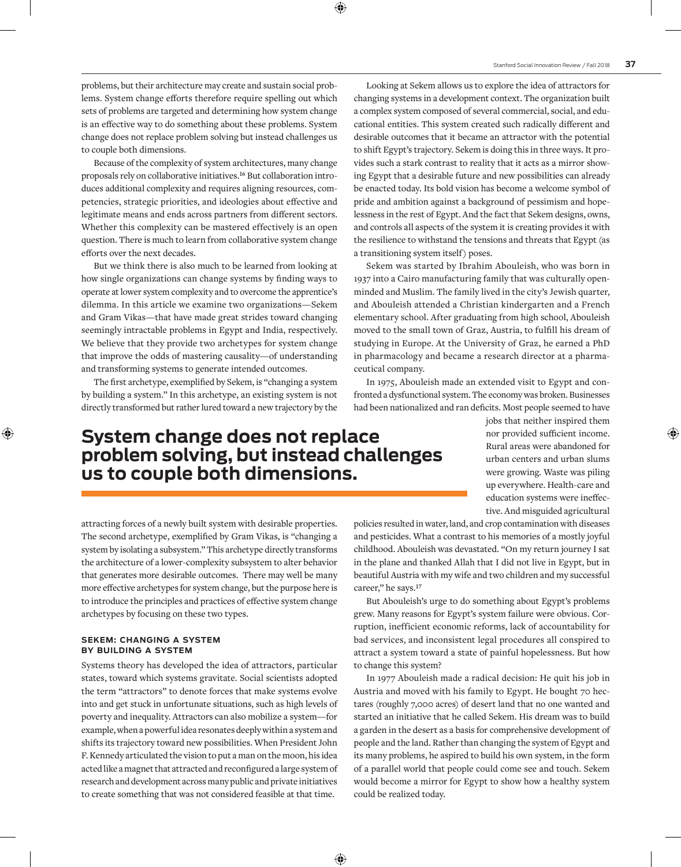problems, but their architecture may create and sustain social problems. System change efforts therefore require spelling out which sets of problems are targeted and determining how system change is an effective way to do something about these problems. System change does not replace problem solving but instead challenges us to couple both dimensions.

Because of the complexity of system architectures, many change proposals rely on collaborative initiatives.**16** But collaboration introduces additional complexity and requires aligning resources, competencies, strategic priorities, and ideologies about effective and legitimate means and ends across partners from different sectors. Whether this complexity can be mastered effectively is an open question. There is much to learn from collaborative system change efforts over the next decades.

But we think there is also much to be learned from looking at how single organizations can change systems by finding ways to operate at lower system complexity and to overcome the apprentice's dilemma. In this article we examine two organizations—[Sekem](https://www.sekem.com/en/index/)  and [Gram Vikas—](http://www.gramvikas.org/)that have made great strides toward changing seemingly intractable problems in Egypt and India, respectively. We believe that they provide two archetypes for system change that improve the odds of mastering causality—of understanding and transforming systems to generate intended outcomes.

The first archetype, exemplified by Sekem, is "changing a system by building a system." In this archetype, an existing system is not directly transformed but rather lured toward a new trajectory by the

Looking at Sekem allows us to explore the idea of attractors for changing systems in a development context. The organization built a complex system composed of several commercial, social, and educational entities. This system created such radically different and desirable outcomes that it became an attractor with the potential to shift Egypt's trajectory. Sekem is doing this in three ways. It provides such a stark contrast to reality that it acts as a mirror showing Egypt that a desirable future and new possibilities can already be enacted today. Its bold vision has become a welcome symbol of pride and ambition against a background of pessimism and hopelessness in the rest of Egypt. And the fact that Sekem designs, owns, and controls all aspects of the system it is creating provides it with the resilience to withstand the tensions and threats that Egypt (as a transitioning system itself) poses.

Sekem was started by Ibrahim Abouleish, who was born in 1937 into a Cairo manufacturing family that was culturally openminded and Muslim. The family lived in the city's Jewish quarter, and Abouleish attended a Christian kindergarten and a French elementary school. After graduating from high school, Abouleish moved to the small town of Graz, Austria, to fulfill his dream of studying in Europe. At the University of Graz, he earned a PhD in pharmacology and became a research director at a pharmaceutical company.

In 1975, Abouleish made an extended visit to Egypt and confronted a dysfunctional system. The economy was broken. Businesses had been nationalized and ran deficits. Most people seemed to have

## **System change does not replace problem solving, but instead challenges us to couple both dimensions.**

jobs that neither inspired them nor provided sufficient income. Rural areas were abandoned for urban centers and urban slums were growing. Waste was piling up everywhere. Health-care and education systems were ineffective. And misguided agricultural

attracting forces of a newly built system with desirable properties. The second archetype, exemplified by Gram Vikas, is "changing a system by isolating a subsystem." This archetype directly transforms the architecture of a lower-complexity subsystem to alter behavior that generates more desirable outcomes. There may well be many more effective archetypes for system change, but the purpose here is to introduce the principles and practices of effective system change archetypes by focusing on these two types.

#### **SEKEM: CHANGING A SYSTEM BY BUILDING A SYSTEM**

Systems theory has developed the idea of attractors, particular states, toward which systems gravitate. Social scientists adopted the term "attractors" to denote forces that make systems evolve into and get stuck in unfortunate situations, such as high levels of poverty and inequality. Attractors can also mobilize a system—for example, when a powerful idea resonates deeply within a system and shifts its trajectory toward new possibilities. When President John F. Kennedy articulated the vision to put a man on the moon, his idea acted like a magnet that attracted and reconfigured a large system of research and development across many public and private initiatives to create something that was not considered feasible at that time.

policies resulted in water, land, and crop contamination with diseases and pesticides. What a contrast to his memories of a mostly joyful childhood. Abouleish was devastated. "On my return journey I sat in the plane and thanked Allah that I did not live in Egypt, but in beautiful Austria with my wife and two children and my successful career," he says.**<sup>17</sup>**

But Abouleish's urge to do something about Egypt's problems grew. Many reasons for Egypt's system failure were obvious. Corruption, inefficient economic reforms, lack of accountability for bad services, and inconsistent legal procedures all conspired to attract a system toward a state of painful hopelessness. But how to change this system?

In 1977 Abouleish made a radical decision: He quit his job in Austria and moved with his family to Egypt. He bought 70 hectares (roughly 7,000 acres) of desert land that no one wanted and started an initiative that he called Sekem. His dream was to build a garden in the desert as a basis for comprehensive development of people and the land. Rather than changing the system of Egypt and its many problems, he aspired to build his own system, in the form of a parallel world that people could come see and touch. Sekem would become a mirror for Egypt to show how a healthy system could be realized today.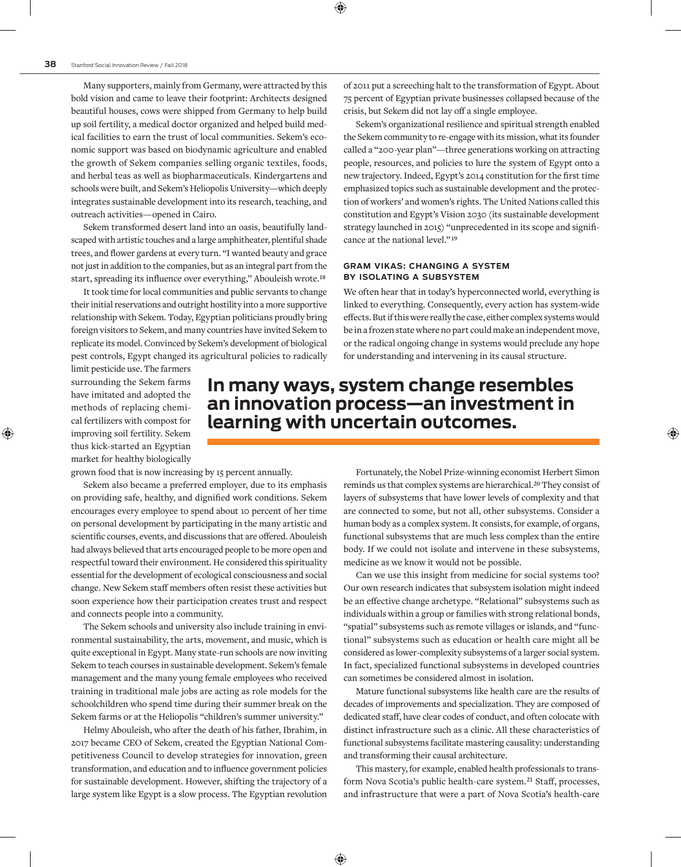Many supporters, mainly from Germany, were attracted by this bold vision and came to leave their footprint: Architects designed beautiful houses, cows were shipped from Germany to help build up soil fertility, a medical doctor organized and helped build medical facilities to earn the trust of local communities. Sekem's economic support was based on biodynamic agriculture and enabled the growth of Sekem companies selling organic textiles, foods, and herbal teas as well as biopharmaceuticals. Kindergartens and schools were built, and Sekem's Heliopolis University—which deeply integrates sustainable development into its research, teaching, and outreach activities—opened in Cairo.

Sekem transformed desert land into an oasis, beautifully landscaped with artistic touches and a large amphitheater, plentiful shade trees, and flower gardens at every turn. "I wanted beauty and grace not just in addition to the companies, but as an integral part from the start, spreading its influence over everything," Abouleish wrote.**<sup>18</sup>**

It took time for local communities and public servants to change their initial reservations and outright hostility into a more supportive relationship with Sekem. Today, Egyptian politicians proudly bring foreign visitors to Sekem, and many countries have invited Sekem to replicate its model. Convinced by Sekem's development of biological pest controls, Egypt changed its agricultural policies to radically of 2011 put a screeching halt to the transformation of Egypt. About 75 percent of Egyptian private businesses collapsed because of the crisis, but Sekem did not lay off a single employee.

Sekem's organizational resilience and spiritual strength enabled the Sekem community to re-engage with its mission, what its founder called a "200-year plan"—three generations working on attracting people, resources, and policies to lure the system of Egypt onto a new trajectory. Indeed, Egypt's 2014 constitution for the first time emphasized topics such as sustainable development and the protection of workers' and women's rights. The United Nations called this constitution and [Egypt's Vision 2030](http://sdsegypt2030.com/?lang=en) (its sustainable development strategy launched in 2015) "unprecedented in its scope and significance at the national level." **<sup>19</sup>**

#### **GRAM VIKAS: CHANGING A SYSTEM BY ISOLATING A SUBSYSTEM**

We often hear that in today's hyperconnected world, everything is linked to everything. Consequently, every action has system-wide effects. But if this were really the case, either complex systems would be in a frozen state where no part could make an independent move, or the radical ongoing change in systems would preclude any hope for understanding and intervening in its causal structure.

limit pesticide use. The farmers surrounding the Sekem farms have imitated and adopted the methods of replacing chemical fertilizers with compost for improving soil fertility. Sekem thus kick-started an Egyptian market for healthy biologically

### **In many ways, system change resembles an innovation process—an investment in learning with uncertain outcomes.**

grown food that is now increasing by 15 percent annually.

Sekem also became a preferred employer, due to its emphasis on providing safe, healthy, and dignified work conditions. Sekem encourages every employee to spend about 10 percent of her time on personal development by participating in the many artistic and scientific courses, events, and discussions that are offered. Abouleish had always believed that arts encouraged people to be more open and respectful toward their environment. He considered this spirituality essential for the development of ecological consciousness and social change. New Sekem staff members often resist these activities but soon experience how their participation creates trust and respect and connects people into a community.

The Sekem schools and university also include training in environmental sustainability, the arts, movement, and music, which is quite exceptional in Egypt. Many state-run schools are now inviting Sekem to teach courses in sustainable development. Sekem's female management and the many young female employees who received training in traditional male jobs are acting as role models for the schoolchildren who spend time during their summer break on the Sekem farms or at the Heliopolis "children's summer university."

Helmy Abouleish, who after the death of his father, Ibrahim, in 2017 became CEO of Sekem, created the [Egyptian National Com](http://www.encc.org.eg/?lang=en)[petitiveness Council](http://www.encc.org.eg/?lang=en) to develop strategies for innovation, green transformation, and education and to influence government policies for sustainable development. However, shifting the trajectory of a large system like Egypt is a slow process. The Egyptian revolution

Fortunately, the Nobel Prize-winning economist Herbert Simon reminds us that complex systems are hierarchical.**<sup>20</sup>** They consist of layers of subsystems that have lower levels of complexity and that are connected to some, but not all, other subsystems. Consider a human body as a complex system. It consists, for example, of organs, functional subsystems that are much less complex than the entire body. If we could not isolate and intervene in these subsystems, medicine as we know it would not be possible.

Can we use this insight from medicine for social systems too? Our own research indicates that subsystem isolation might indeed be an effective change archetype. "Relational" subsystems such as individuals within a group or families with strong relational bonds, "spatial" subsystems such as remote villages or islands, and "functional" subsystems such as education or health care might all be considered as lower-complexity subsystems of a larger social system. In fact, specialized functional subsystems in developed countries can sometimes be considered almost in isolation.

Mature functional subsystems like health care are the results of decades of improvements and specialization. They are composed of dedicated staff, have clear codes of conduct, and often colocate with distinct infrastructure such as a clinic. All these characteristics of functional subsystems facilitate mastering causality: understanding and transforming their causal architecture.

This mastery, for example, enabled health professionals to transform Nova Scotia's public health-care system.**<sup>21</sup>** Staff, processes, and infrastructure that were a part of Nova Scotia's health-care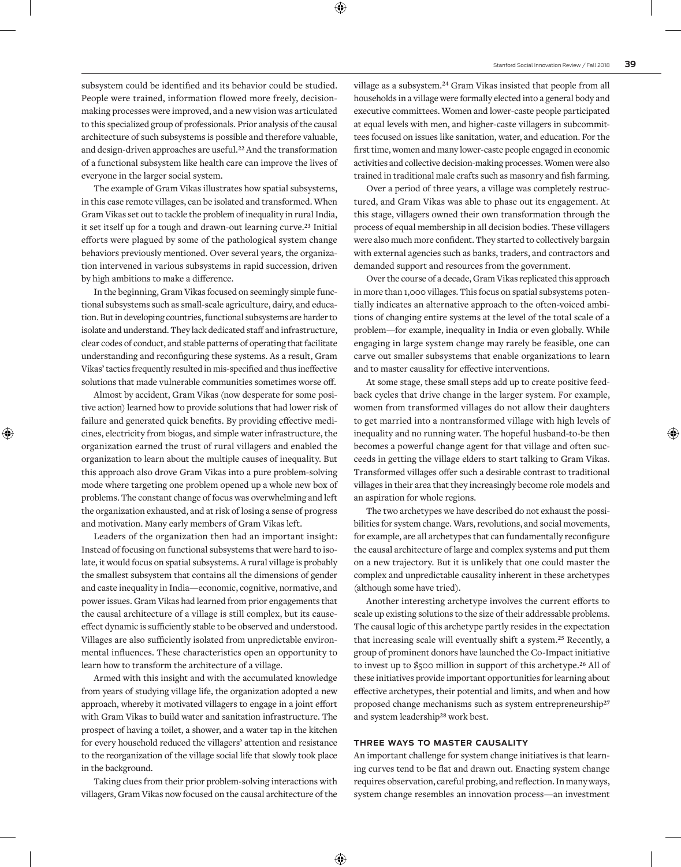subsystem could be identified and its behavior could be studied. People were trained, information flowed more freely, decisionmaking processes were improved, and a new vision was articulated to this specialized group of professionals. Prior analysis of the causal architecture of such subsystems is possible and therefore valuable, and design-driven approaches are useful.**<sup>22</sup>** And the transformation of a functional subsystem like health care can improve the lives of everyone in the larger social system.

The example of Gram Vikas illustrates how spatial subsystems, in this case remote villages, can be isolated and transformed. When Gram Vikas set out to tackle the problem of inequality in rural India, it set itself up for a tough and drawn-out learning curve.**<sup>23</sup>** Initial efforts were plagued by some of the pathological system change behaviors previously mentioned. Over several years, the organization intervened in various subsystems in rapid succession, driven by high ambitions to make a difference.

In the beginning, Gram Vikas focused on seemingly simple functional subsystems such as small-scale agriculture, dairy, and education. But in developing countries, functional subsystems are harder to isolate and understand. They lack dedicated staff and infrastructure, clear codes of conduct, and stable patterns of operating that facilitate understanding and reconfiguring these systems. As a result, Gram Vikas' tactics frequently resulted in mis-specified and thus ineffective solutions that made vulnerable communities sometimes worse off.

Almost by accident, Gram Vikas (now desperate for some positive action) learned how to provide solutions that had lower risk of failure and generated quick benefits. By providing effective medicines, electricity from biogas, and simple water infrastructure, the organization earned the trust of rural villagers and enabled the organization to learn about the multiple causes of inequality. But this approach also drove Gram Vikas into a pure problem-solving mode where targeting one problem opened up a whole new box of problems. The constant change of focus was overwhelming and left the organization exhausted, and at risk of losing a sense of progress and motivation. Many early members of Gram Vikas left.

Leaders of the organization then had an important insight: Instead of focusing on functional subsystems that were hard to isolate, it would focus on spatial subsystems. A rural village is probably the smallest subsystem that contains all the dimensions of gender and caste inequality in India—economic, cognitive, normative, and power issues. Gram Vikas had learned from prior engagements that the causal architecture of a village is still complex, but its causeeffect dynamic is sufficiently stable to be observed and understood. Villages are also sufficiently isolated from unpredictable environmental influences. These characteristics open an opportunity to learn how to transform the architecture of a village.

Armed with this insight and with the accumulated knowledge from years of studying village life, the organization adopted a new approach, whereby it motivated villagers to engage in a joint effort with Gram Vikas to build water and sanitation infrastructure. The prospect of having a toilet, a shower, and a water tap in the kitchen for every household reduced the villagers' attention and resistance to the reorganization of the village social life that slowly took place in the background.

Taking clues from their prior problem-solving interactions with villagers, Gram Vikas now focused on the causal architecture of the

village as a subsystem.**<sup>24</sup>** Gram Vikas insisted that people from all households in a village were formally elected into a general body and executive committees. Women and lower-caste people participated at equal levels with men, and higher-caste villagers in subcommittees focused on issues like sanitation, water, and education. For the first time, women and many lower-caste people engaged in economic activities and collective decision-making processes. Women were also trained in traditional male crafts such as masonry and fish farming.

Over a period of three years, a village was completely restructured, and Gram Vikas was able to phase out its engagement. At this stage, villagers owned their own transformation through the process of equal membership in all decision bodies. These villagers were also much more confident. They started to collectively bargain with external agencies such as banks, traders, and contractors and demanded support and resources from the government.

Over the course of a decade, Gram Vikas replicated this approach in more than 1,000 villages. This focus on spatial subsystems potentially indicates an alternative approach to the often-voiced ambitions of changing entire systems at the level of the total scale of a problem—for example, inequality in India or even globally. While engaging in large system change may rarely be feasible, one can carve out smaller subsystems that enable organizations to learn and to master causality for effective interventions.

At some stage, these small steps add up to create positive feedback cycles that drive change in the larger system. For example, women from transformed villages do not allow their daughters to get married into a nontransformed village with high levels of inequality and no running water. The hopeful husband-to-be then becomes a powerful change agent for that village and often succeeds in getting the village elders to start talking to Gram Vikas. Transformed villages offer such a desirable contrast to traditional villages in their area that they increasingly become role models and an aspiration for whole regions.

The two archetypes we have described do not exhaust the possibilities for system change. Wars, revolutions, and social movements, for example, are all archetypes that can fundamentally reconfigure the causal architecture of large and complex systems and put them on a new trajectory. But it is unlikely that one could master the complex and unpredictable causality inherent in these archetypes (although some have tried).

Another interesting archetype involves the current efforts to scale up existing solutions to the size of their addressable problems. The causal logic of this archetype partly resides in the expectation that increasing scale will eventually shift a system.**<sup>25</sup>** Recently, a group of prominent donors have launched the [Co-Impact initiative](http://www.co-impact.io/)  to invest up to \$500 million in support of this archetype.**<sup>26</sup>** All of these initiatives provide important opportunities for learning about effective archetypes, their potential and limits, and when and how proposed change mechanisms such as system entrepreneurship**<sup>27</sup>** and system leadership**<sup>28</sup>** work best.

#### **THREE WAYS TO MASTER CAUSALITY**

An important challenge for system change initiatives is that learning curves tend to be flat and drawn out. Enacting system change requires observation, careful probing, and reflection. In many ways, system change resembles an innovation process—an investment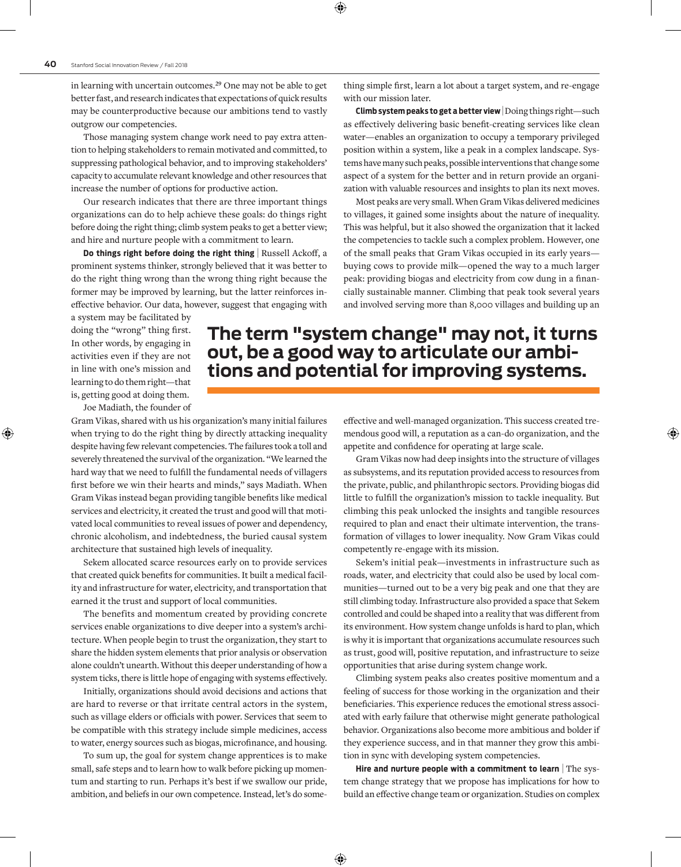in learning with uncertain outcomes.**<sup>29</sup>** One may not be able to get better fast, and research indicates that expectations of quick results may be counterproductive because our ambitions tend to vastly outgrow our competencies.

Those managing system change work need to pay extra attention to helping stakeholders to remain motivated and committed, to suppressing pathological behavior, and to improving stakeholders' capacity to accumulate relevant knowledge and other resources that increase the number of options for productive action.

Our research indicates that there are three important things organizations can do to help achieve these goals: do things right before doing the right thing; climb system peaks to get a better view; and hire and nurture people with a commitment to learn.

**Do things right before doing the right thing | Russell Ackoff, a** prominent systems thinker, strongly believed that it was better to do the right thing wrong than the wrong thing right because the former may be improved by learning, but the latter reinforces ineffective behavior. Our data, however, suggest that engaging with thing simple first, learn a lot about a target system, and re-engage with our mission later.

**Climb system peaks to get a better view** | Doing things right—such as effectively delivering basic benefit-creating services like clean water—enables an organization to occupy a temporary privileged position within a system, like a peak in a complex landscape. Systems have many such peaks, possible interventions that change some aspect of a system for the better and in return provide an organization with valuable resources and insights to plan its next moves.

Most peaks are very small. When Gram Vikas delivered medicines to villages, it gained some insights about the nature of inequality. This was helpful, but it also showed the organization that it lacked the competencies to tackle such a complex problem. However, one of the small peaks that Gram Vikas occupied in its early years buying cows to provide milk—opened the way to a much larger peak: providing biogas and electricity from cow dung in a financially sustainable manner. Climbing that peak took several years and involved serving more than 8,000 villages and building up an

a system may be facilitated by doing the "wrong" thing first. In other words, by engaging in activities even if they are not in line with one's mission and learning to do them right—that is, getting good at doing them.

Joe Madiath, the founder of

Gram Vikas, shared with us his organization's many initial failures when trying to do the right thing by directly attacking inequality despite having few relevant competencies. The failures took a toll and severely threatened the survival of the organization. "We learned the hard way that we need to fulfill the fundamental needs of villagers first before we win their hearts and minds," says Madiath. When Gram Vikas instead began providing tangible benefits like medical services and electricity, it created the trust and good will that motivated local communities to reveal issues of power and dependency, chronic alcoholism, and indebtedness, the buried causal system architecture that sustained high levels of inequality.

Sekem allocated scarce resources early on to provide services that created quick benefits for communities. It built a medical facility and infrastructure for water, electricity, and transportation that earned it the trust and support of local communities.

The benefits and momentum created by providing concrete services enable organizations to dive deeper into a system's architecture. When people begin to trust the organization, they start to share the hidden system elements that prior analysis or observation alone couldn't unearth. Without this deeper understanding of how a system ticks, there is little hope of engaging with systems effectively.

Initially, organizations should avoid decisions and actions that are hard to reverse or that irritate central actors in the system, such as village elders or officials with power. Services that seem to be compatible with this strategy include simple medicines, access to water, energy sources such as biogas, microfinance, and housing.

To sum up, the goal for system change apprentices is to make small, safe steps and to learn how to walk before picking up momentum and starting to run. Perhaps it's best if we swallow our pride, ambition, and beliefs in our own competence. Instead, let's do some-

**The term "system change" may not, it turns out, be a good way to articulate our ambitions and potential for improving systems.**

> effective and well-managed organization. This success created tremendous good will, a reputation as a can-do organization, and the appetite and confidence for operating at large scale.

> Gram Vikas now had deep insights into the structure of villages as subsystems, and its reputation provided access to resources from the private, public, and philanthropic sectors. Providing biogas did little to fulfill the organization's mission to tackle inequality. But climbing this peak unlocked the insights and tangible resources required to plan and enact their ultimate intervention, the transformation of villages to lower inequality. Now Gram Vikas could competently re-engage with its mission.

> Sekem's initial peak—investments in infrastructure such as roads, water, and electricity that could also be used by local communities—turned out to be a very big peak and one that they are still climbing today. Infrastructure also provided a space that Sekem controlled and could be shaped into a reality that was different from its environment. How system change unfolds is hard to plan, which is why it is important that organizations accumulate resources such as trust, good will, positive reputation, and infrastructure to seize opportunities that arise during system change work.

> Climbing system peaks also creates positive momentum and a feeling of success for those working in the organization and their beneficiaries. This experience reduces the emotional stress associated with early failure that otherwise might generate pathological behavior. Organizations also become more ambitious and bolder if they experience success, and in that manner they grow this ambition in sync with developing system competencies.

> **Hire and nurture people with a commitment to learn** | The system change strategy that we propose has implications for how to build an effective change team or organization. Studies on complex